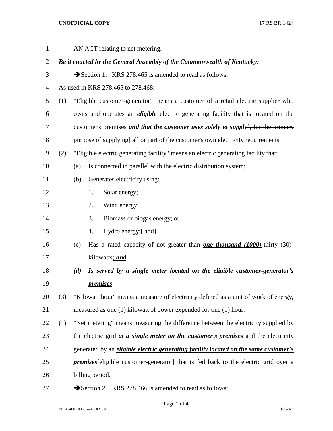## **UNOFFICIAL COPY** 17 RS BR 1424

| $\mathbf{1}$ |     | AN ACT relating to net metering.                                                            |
|--------------|-----|---------------------------------------------------------------------------------------------|
| 2            |     | Be it enacted by the General Assembly of the Commonwealth of Kentucky:                      |
| 3            |     | Section 1. KRS 278.465 is amended to read as follows:                                       |
| 4            |     | As used in KRS 278.465 to 278.468:                                                          |
| 5            | (1) | "Eligible customer-generator" means a customer of a retail electric supplier who            |
| 6            |     | owns and operates an <i>eligible</i> electric generating facility that is located on the    |
| 7            |     | customer's premises <i>and that the customer uses solely to supply</i> for the primary      |
| 8            |     | purpose of supplying] all or part of the customer's own electricity requirements.           |
| 9            | (2) | "Eligible electric generating facility" means an electric generating facility that:         |
| 10           |     | Is connected in parallel with the electric distribution system;<br>(a)                      |
| 11           |     | Generates electricity using:<br>(b)                                                         |
| 12           |     | Solar energy;<br>1.                                                                         |
| 13           |     | Wind energy;<br>2.                                                                          |
| 14           |     | Biomass or biogas energy; or<br>3.                                                          |
| 15           |     | Hydro energy; [ and]<br>4.                                                                  |
| 16           |     | Has a rated capacity of not greater than <b>one thousand (1000)</b> [thirty $(30)$ ]<br>(c) |
| 17           |     | kilowatts; and                                                                              |
| 18           |     | Is served by a single meter located on the eligible customer-generator's<br>(d)             |
| 19           |     | <i>premises.</i>                                                                            |
| 20           | (3) | "Kilowatt hour" means a measure of electricity defined as a unit of work of energy,         |
| 21           |     | measured as one (1) kilowatt of power expended for one (1) hour.                            |
| 22           | (4) | "Net metering" means measuring the difference between the electricity supplied by           |
| 23           |     | the electric grid <i>at a single meter on the customer's premises</i> and the electricity   |
| 24           |     | generated by an <i>eligible electric generating facility located on the same customer's</i> |
| 25           |     | <i>premises</i> [eligible customer-generator] that is fed back to the electric grid over a  |
| 26           |     | billing period.                                                                             |
|              |     |                                                                                             |

27 Section 2. KRS 278.466 is amended to read as follows: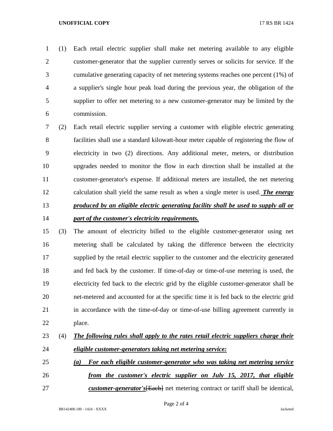## **UNOFFICIAL COPY** 17 RS BR 1424

 (1) Each retail electric supplier shall make net metering available to any eligible customer-generator that the supplier currently serves or solicits for service. If the cumulative generating capacity of net metering systems reaches one percent (1%) of a supplier's single hour peak load during the previous year, the obligation of the supplier to offer net metering to a new customer-generator may be limited by the commission.

 (2) Each retail electric supplier serving a customer with eligible electric generating facilities shall use a standard kilowatt-hour meter capable of registering the flow of electricity in two (2) directions. Any additional meter, meters, or distribution upgrades needed to monitor the flow in each direction shall be installed at the customer-generator's expense. If additional meters are installed, the net metering calculation shall yield the same result as when a single meter is used. *The energy produced by an eligible electric generating facility shall be used to supply all or part of the customer's electricity requirements.*

 (3) The amount of electricity billed to the eligible customer-generator using net metering shall be calculated by taking the difference between the electricity supplied by the retail electric supplier to the customer and the electricity generated and fed back by the customer. If time-of-day or time-of-use metering is used, the electricity fed back to the electric grid by the eligible customer-generator shall be net-metered and accounted for at the specific time it is fed back to the electric grid in accordance with the time-of-day or time-of-use billing agreement currently in place.

## (4) *The following rules shall apply to the rates retail electric suppliers charge their eligible customer-generators taking net metering service:*

- *(a) For each eligible customer-generator who was taking net metering service from the customer's electric supplier on July 15, 2017, that eligible*
- *customer-generator's*[Each] net metering contract or tariff shall be identical,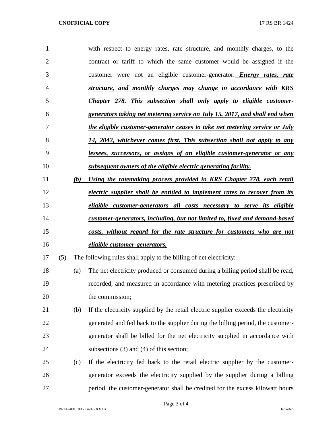| 1              |     | with respect to energy rates, rate structure, and monthly charges, to the           |
|----------------|-----|-------------------------------------------------------------------------------------|
| $\overline{2}$ |     | contract or tariff to which the same customer would be assigned if the              |
| 3              |     | customer were not an eligible customer-generator. <i>Energy rates, rate</i>         |
| 4              |     | structure, and monthly charges may change in accordance with KRS                    |
| 5              |     | Chapter 278. This subsection shall only apply to eligible customer-                 |
| 6              |     | generators taking net metering service on July 15, 2017, and shall end when         |
| 7              |     | the eligible customer-generator ceases to take net metering service or July         |
| 8              |     | 14, 2042, whichever comes first. This subsection shall not apply to any             |
| 9              |     | lessees, successors, or assigns of an eligible customer-generator or any            |
| 10             |     | subsequent owners of the eligible electric generating facility.                     |
| 11             | (b) | Using the ratemaking process provided in KRS Chapter 278, each retail               |
| 12             |     | electric supplier shall be entitled to implement rates to recover from its          |
| 13             |     | eligible customer-generators all costs necessary to serve its eligible              |
|                |     |                                                                                     |
| 14             |     | customer-generators, including, but not limited to, fixed and demand-based          |
| 15             |     | costs, without regard for the rate structure for customers who are not              |
| 16             |     | <i>eligible customer-generators.</i>                                                |
| 17             | (5) | The following rules shall apply to the billing of net electricity:                  |
| 18             | (a) | The net electricity produced or consumed during a billing period shall be read,     |
| 19             |     | recorded, and measured in accordance with metering practices prescribed by          |
| 20             |     | the commission;                                                                     |
| 21             | (b) | If the electricity supplied by the retail electric supplier exceeds the electricity |
| 22             |     | generated and fed back to the supplier during the billing period, the customer-     |
| 23             |     | generator shall be billed for the net electricity supplied in accordance with       |
| 24             |     | subsections $(3)$ and $(4)$ of this section;                                        |
| 25             | (c) | If the electricity fed back to the retail electric supplier by the customer-        |

period, the customer-generator shall be credited for the excess kilowatt hours

BR142400.100 - 1424 - XXXX Jacketed

Page 3 of 4